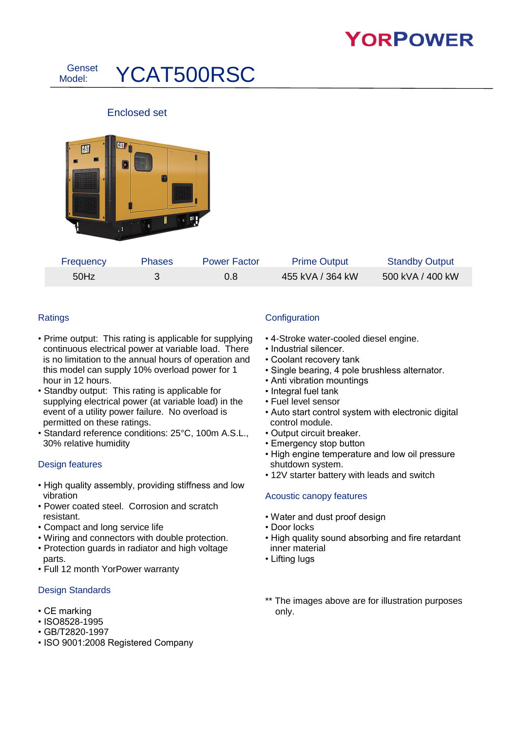# **YORPOWER**



## Enclosed set



| Frequency | <b>Phases</b> | <b>Power Factor</b> | <b>Prime Output</b> | <b>Standby Output</b> |
|-----------|---------------|---------------------|---------------------|-----------------------|
| 50Hz      |               | 0.8                 | 455 kVA / 364 kW    | 500 kVA / 400 kW      |

### **Ratings**

- Prime output: This rating is applicable for supplying continuous electrical power at variable load. There is no limitation to the annual hours of operation and this model can supply 10% overload power for 1 hour in 12 hours.
- Standby output: This rating is applicable for supplying electrical power (at variable load) in the event of a utility power failure. No overload is permitted on these ratings.
- Standard reference conditions: 25°C, 100m A.S.L., 30% relative humidity

#### Design features

- High quality assembly, providing stiffness and low vibration
- Power coated steel. Corrosion and scratch resistant.
- Compact and long service life
- Wiring and connectors with double protection.
- Protection guards in radiator and high voltage parts.
- Full 12 month YorPower warranty

#### Design Standards

- CE marking
- ISO8528-1995
- GB/T2820-1997
- ISO 9001:2008 Registered Company

### **Configuration**

- 4-Stroke water-cooled diesel engine.
- Industrial silencer.
- Coolant recovery tank
- Single bearing, 4 pole brushless alternator.
- Anti vibration mountings
- Integral fuel tank
- Fuel level sensor
- Auto start control system with electronic digital control module.
- Output circuit breaker.
- Emergency stop button
- High engine temperature and low oil pressure shutdown system.
- 12V starter battery with leads and switch

#### Acoustic canopy features

- Water and dust proof design
- Door locks
- High quality sound absorbing and fire retardant inner material
- Lifting lugs
- \*\* The images above are for illustration purposes only.